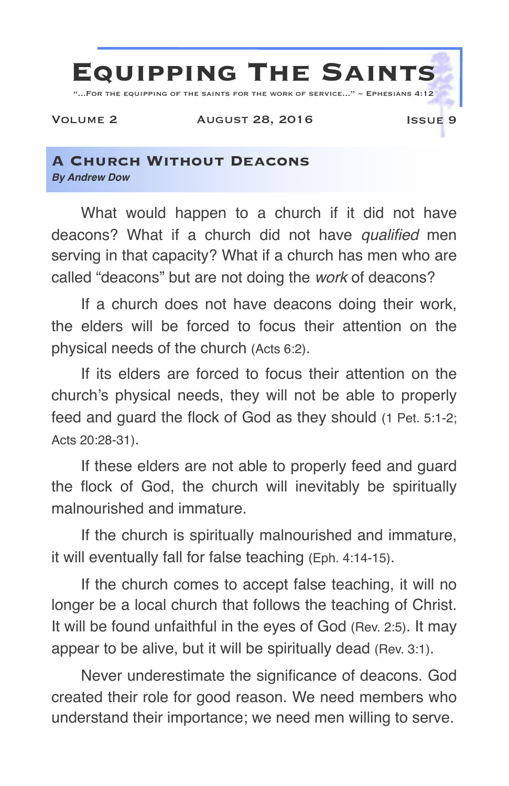

## **A Church Without Deacons** *By Andrew Dow*

What would happen to a church if it did not have deacons? What if a church did not have *qualified* men serving in that capacity? What if a church has men who are called "deacons" but are not doing the *work* of deacons?

If a church does not have deacons doing their work, the elders will be forced to focus their attention on the physical needs of the church (Acts 6:2).

If its elders are forced to focus their attention on the church's physical needs, they will not be able to properly feed and guard the flock of God as they should (1 Pet. 5:1-2; Acts 20:28-31).

If these elders are not able to properly feed and guard the flock of God, the church will inevitably be spiritually malnourished and immature.

If the church is spiritually malnourished and immature, it will eventually fall for false teaching (Eph. 4:14-15).

If the church comes to accept false teaching, it will no longer be a local church that follows the teaching of Christ. It will be found unfaithful in the eyes of God (Rev. 2:5). It may appear to be alive, but it will be spiritually dead (Rev. 3:1).

Never underestimate the significance of deacons. God created their role for good reason. We need members who understand their importance; we need men willing to serve.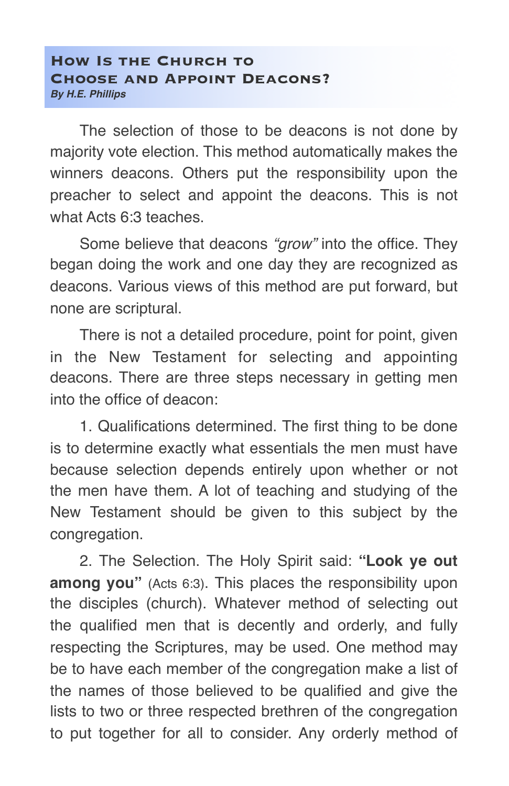## **How Is the Church to Choose and Appoint Deacons?** *By H.E. Phillips*

The selection of those to be deacons is not done by majority vote election. This method automatically makes the winners deacons. Others put the responsibility upon the preacher to select and appoint the deacons. This is not what Acts 6:3 teaches.

Some believe that deacons *"grow"* into the office. They began doing the work and one day they are recognized as deacons. Various views of this method are put forward, but none are scriptural.

There is not a detailed procedure, point for point, given in the New Testament for selecting and appointing deacons. There are three steps necessary in getting men into the office of deacon:

1. Qualifications determined. The first thing to be done is to determine exactly what essentials the men must have because selection depends entirely upon whether or not the men have them. A lot of teaching and studying of the New Testament should be given to this subject by the congregation.

2. The Selection. The Holy Spirit said: **"Look ye out among you"** (Acts 6:3). This places the responsibility upon the disciples (church). Whatever method of selecting out the qualified men that is decently and orderly, and fully respecting the Scriptures, may be used. One method may be to have each member of the congregation make a list of the names of those believed to be qualified and give the lists to two or three respected brethren of the congregation to put together for all to consider. Any orderly method of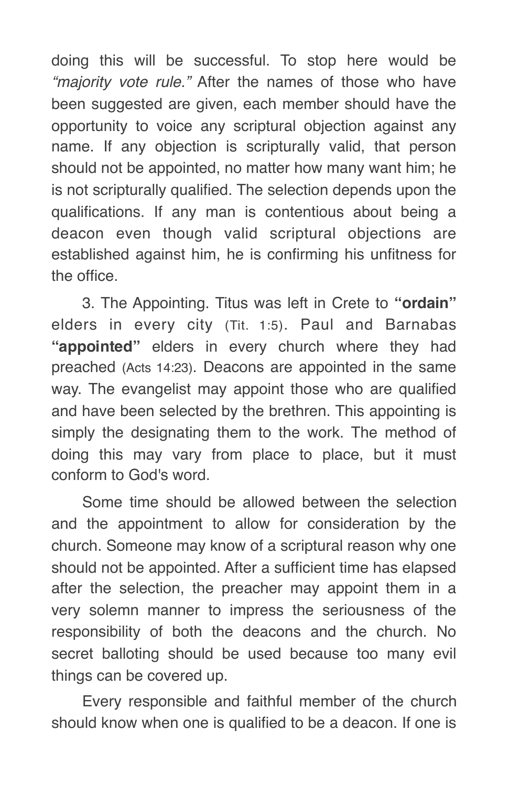doing this will be successful. To stop here would be *"majority vote rule."* After the names of those who have been suggested are given, each member should have the opportunity to voice any scriptural objection against any name. If any objection is scripturally valid, that person should not be appointed, no matter how many want him; he is not scripturally qualified. The selection depends upon the qualifications. If any man is contentious about being a deacon even though valid scriptural objections are established against him, he is confirming his unfitness for the office.

3. The Appointing. Titus was left in Crete to **"ordain"** elders in every city (Tit. 1:5). Paul and Barnabas **"appointed"** elders in every church where they had preached (Acts 14:23). Deacons are appointed in the same way. The evangelist may appoint those who are qualified and have been selected by the brethren. This appointing is simply the designating them to the work. The method of doing this may vary from place to place, but it must conform to God's word.

Some time should be allowed between the selection and the appointment to allow for consideration by the church. Someone may know of a scriptural reason why one should not be appointed. After a sufficient time has elapsed after the selection, the preacher may appoint them in a very solemn manner to impress the seriousness of the responsibility of both the deacons and the church. No secret balloting should be used because too many evil things can be covered up.

Every responsible and faithful member of the church should know when one is qualified to be a deacon. If one is